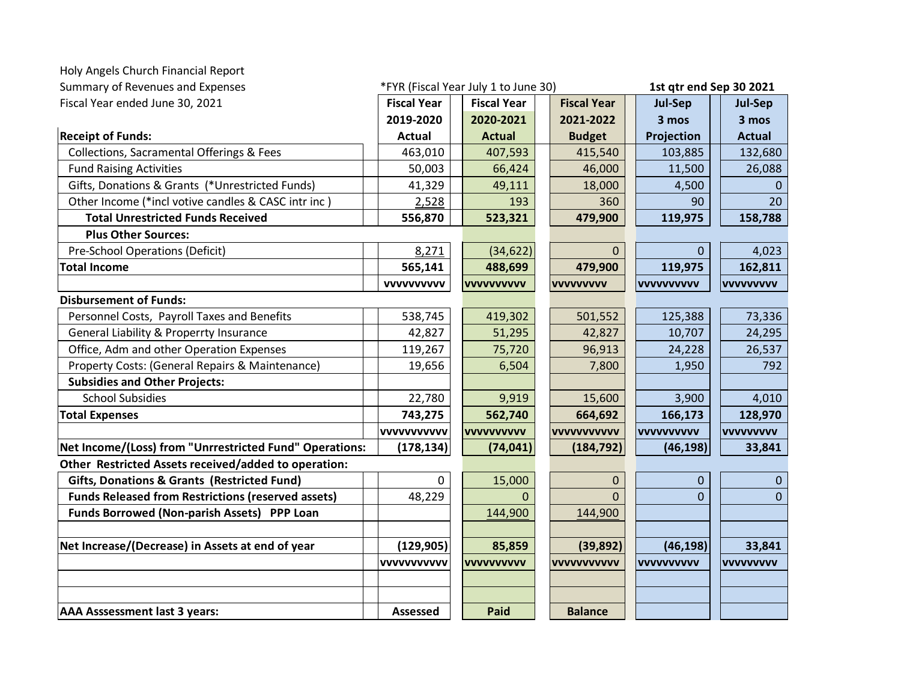| Holy Angels Church Financial Report                       |                    |                                      |                    |                   |                         |  |
|-----------------------------------------------------------|--------------------|--------------------------------------|--------------------|-------------------|-------------------------|--|
| Summary of Revenues and Expenses                          |                    | *FYR (Fiscal Year July 1 to June 30) |                    |                   | 1st qtr end Sep 30 2021 |  |
| Fiscal Year ended June 30, 2021                           | <b>Fiscal Year</b> | <b>Fiscal Year</b>                   | <b>Fiscal Year</b> | Jul-Sep           | Jul-Sep                 |  |
|                                                           | 2019-2020          | 2020-2021                            | 2021-2022          | 3 mos             | 3 mos                   |  |
| <b>Receipt of Funds:</b>                                  | <b>Actual</b>      | <b>Actual</b>                        | <b>Budget</b>      | Projection        | <b>Actual</b>           |  |
| Collections, Sacramental Offerings & Fees                 | 463,010            | 407,593                              | 415,540            | 103,885           | 132,680                 |  |
| <b>Fund Raising Activities</b>                            | 50,003             | 66,424                               | 46,000             | 11,500            | 26,088                  |  |
| Gifts, Donations & Grants (*Unrestricted Funds)           | 41,329             | 49,111                               | 18,000             | 4,500             | $\mathbf{0}$            |  |
| Other Income (*incl votive candles & CASC intr inc)       | 2,528              | 193                                  | 360                | 90                | 20                      |  |
| <b>Total Unrestricted Funds Received</b>                  | 556,870            | 523,321                              | 479,900            | 119,975           | 158,788                 |  |
| <b>Plus Other Sources:</b>                                |                    |                                      |                    |                   |                         |  |
| Pre-School Operations (Deficit)                           | 8,271              | (34, 622)                            | $\Omega$           | 0                 | 4,023                   |  |
| <b>Total Income</b>                                       | 565,141            | 488,699                              | 479,900            | 119,975           | 162,811                 |  |
|                                                           | <b>VVVVVVVVVV</b>  | <b>VVVVVVVVVV</b>                    | <b>VVVVVVVVV</b>   | <b>VVVVVVVVVV</b> | <b>VVVVVVVVV</b>        |  |
| <b>Disbursement of Funds:</b>                             |                    |                                      |                    |                   |                         |  |
| Personnel Costs, Payroll Taxes and Benefits               | 538,745            | 419,302                              | 501,552            | 125,388           | 73,336                  |  |
| General Liability & Properrty Insurance                   | 42,827             | 51,295                               | 42,827             | 10,707            | 24,295                  |  |
| Office, Adm and other Operation Expenses                  | 119,267            | 75,720                               | 96,913             | 24,228            | 26,537                  |  |
| Property Costs: (General Repairs & Maintenance)           | 19,656             | 6,504                                | 7,800              | 1,950             | 792                     |  |
| <b>Subsidies and Other Projects:</b>                      |                    |                                      |                    |                   |                         |  |
| <b>School Subsidies</b>                                   | 22,780             | 9,919                                | 15,600             | 3,900             | 4,010                   |  |
| <b>Total Expenses</b>                                     | 743,275            | 562,740                              | 664,692            | 166,173           | 128,970                 |  |
|                                                           | vvvvvvvvvvv        | <b>VVVVVVVVVV</b>                    | <b>VVVVVVVVVVV</b> | <b>VVVVVVVVVV</b> | <b>VVVVVVVVV</b>        |  |
| Net Income/(Loss) from "Unrrestricted Fund" Operations:   | (178, 134)         | (74, 041)                            | (184, 792)         | (46, 198)         | 33,841                  |  |
| Other Restricted Assets received/added to operation:      |                    |                                      |                    |                   |                         |  |
| <b>Gifts, Donations &amp; Grants (Restricted Fund)</b>    | 0                  | 15,000                               | $\pmb{0}$          | 0                 | $\mathbf{0}$            |  |
| <b>Funds Released from Restrictions (reserved assets)</b> | 48,229             | $\Omega$                             | $\overline{0}$     | $\overline{0}$    | $\overline{0}$          |  |
| Funds Borrowed (Non-parish Assets) PPP Loan               |                    | 144,900                              | 144,900            |                   |                         |  |
|                                                           |                    |                                      |                    |                   |                         |  |
| Net Increase/(Decrease) in Assets at end of year          | (129, 905)         | 85,859                               | (39, 892)          | (46, 198)         | 33,841                  |  |
|                                                           | <b>VVVVVVVVVVV</b> | <b>VVVVVVVVVV</b>                    | <b>VVVVVVVVVVV</b> | <b>VVVVVVVVVV</b> | <b>VVVVVVVVV</b>        |  |
|                                                           |                    |                                      |                    |                   |                         |  |
| <b>AAA Asssessment last 3 years:</b>                      | <b>Assessed</b>    | Paid                                 | <b>Balance</b>     |                   |                         |  |